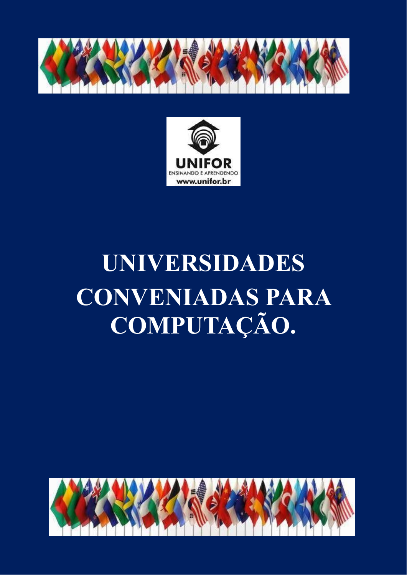



# **UNIVERSIDADES CONVENIADAS PARA COMPUTAÇÃO.**

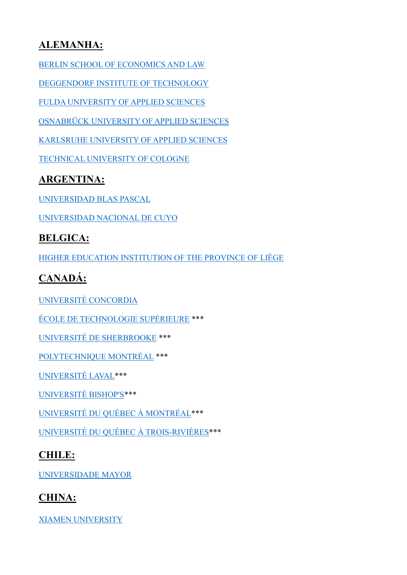## **ALEMANHA:**

[BERLIN SCHOOL OF ECONOMICS AND LAW](https://www.hwr-berlin.de/en/study/degree-programmes/detail/61-informatik/) 

[DEGGENDORF INSTITUTE OF TECHNOLOGY](https://www.th-deg.de/en/et-mt-en/courses/ai-b-en)

[FULDA UNIVERSITY OF APPLIED SCIENCES](https://www.hs-fulda.de/en/studies/departments/applied-computer-science/)

[OSNABRÜCK UNIVERSITY OF APPLIED SCIENCES](https://www.hs-osnabrueck.de/en/study/study-offerings/bachelor/computer-science-and-media-applications-bsc/)

[KARLSRUHE UNIVERSITY OF APPLIED SCIENCES](https://www.hs-karlsruhe.de/en/faculties/computer-science-business-information-systems/)

[TECHNICAL UNIVERSITY OF COLOGNE](https://www.th-koeln.de/en/academics/computer-science-bachelors-program_7326.php)

## **ARGENTINA:**

[UNIVERSIDAD](https://www.ubp.edu.ar/carreras/tecnologia/informatica/) BLAS PASCAL

[UNIVERSIDAD NACIONAL DE CUYO](http://www.uncuyo.edu.ar/estudios/carrera/licenciatura-en-ciencias-de-la-computacion)

## **BELGICA:**

[HIGHER EDUCATION INSTITUTION OF THE PROVINCE OF LIÈGE](http://www.provincedeliege.be/en/art1313)

# **CANADÁ:**

[UNIVERSITÉ CONCORDIA](http://www.concordia.ca/ginacody/computer-science-software-eng.html)

[ÉCOLE DE TECHNOLOGIE](https://www.etsmtl.ca/Etudes/Premier-cycle/Baccalaureat-genie-logiciel) SUPÉRIEURE \*\*\*

[UNIVERSITÉ DE SHERBROOKE](https://www.usherbrooke.ca/admission/programme/236/baccalaureat-en-genie-informatique/) \*\*\*

[POLYTECHNIQUE MONTRÉAL](https://www.polymtl.ca/gigl/) \*\*\*

[UNIVERSITÉ LAVAL\\*](https://www.ulaval.ca/les-etudes/programmes/repertoire/details/baccalaureat-en-genie-informatique-b-ing.html)\*\*

[UNIVERSITÉ BISHOP'S\\*](https://www.ubishops.ca/academic-programs/faculty-of-arts-and-science/natural-sciences-and-mathematics/computer-science/courses-programs/)\*\*

[UNIVERSITÉ DU QUÉBEC À MONTRÉAL\\*](https://etudier.uqam.ca/programme?code=7416)\*\*

[UNIVERSITÉ DU QUÉBEC](https://oraprdnt.uqtr.uquebec.ca/pls/public/gscw030?owa_no_site=2727) À TROIS-RIVIÈRES\*\*\*

## **CHILE:**

[UNIVERSIDADE](https://www.umayor.cl/um/carreras/ingenieria-civil-en-computacion-e-informatica-santiago/10000) MAYOR

## **CHINA:**

[XIAMEN UNIVERSITY](http://information.xmu.edu.cn/en/?mod=departments&id=27)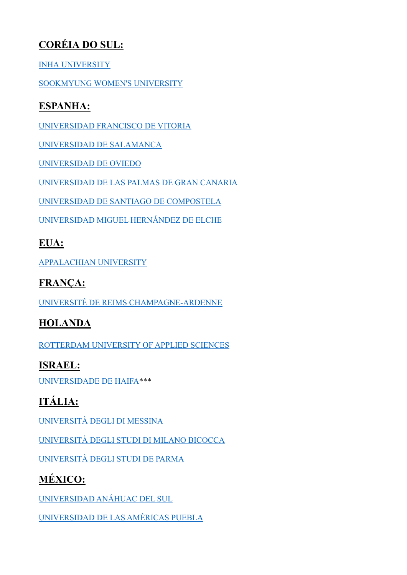## **CORÉIA DO SUL:**

INHA [UNIVERSITY](http://www.inha.ac.kr/mbshome/mbs/eng/subview.do?id=eng_020101000000)

[SOOKMYUNG WOMEN'S UNIVERSITY](http://e.sookmyung.ac.kr/sookmyungen/1438/subview.do)

### **ESPANHA:**

[UNIVERSIDAD FRANCISCO DE VITORIA](https://www.ufv.es/estudiar-grado-informatica-madrid/)

[UNIVERSIDAD DE SALAMANCA](https://www.usal.es/grado-en-ingenieria-informatica)

[UNIVERSIDAD DE OVIEDO](http://www.uniovi.es/estudios/grados/-/asset_publisher/X5CYKURHdF1e/content/grado-en-ingenieria-informatica-del-software-2014?redirect=%2Festudios%2Fgrados)

[UNIVERSIDAD DE](https://www2.ulpgc.es/index.php?pagina=plan_estudio&ver=inicio) LAS PALMAS DE GRAN CANARIA

[UNIVERSIDAD DE SANTIAGO DE COMPOSTELA](http://www.usc.es/graos/es/grados/ingenieria-arquitectura/ingenieria-informatica)

[UNIVERSIDAD MIGUEL HERNÁNDEZ DE ELCHE](https://www.umh.es/contenido/Visitantes/:tit_g_192_S8/datos_es.html)

## **EUA:**

[APPALACHIAN UNIVERSITY](https://www.appstate.edu/academics/majors/id/computer-science)

## **FRANÇA:**

[UNIVERSITÉ DE REIMS CHAMPAGNE-ARDENNE](https://www.univ-reims.fr/formation/nos-formations/catalogue/sciences-technologies-sante/licence-sciences-et-technologies,21635,36053.html?)

## **HOLANDA**

ROTTERDAM [UNIVERSITY](https://www.rotterdamuas.com/about/organisation/schools/school-of-built-environment/programmes/) OF APPLIED SCIENCES

## **ISRAEL:**

[UNIVERSIDADE DE HAIFA\\*](https://www.haifa.ac.il/index.php/en/ba-studies-2/3042-compsci.html)\*\*

## **ITÁLIA:**

[UNIVERSITÀ DEGLI DI MESSINA](https://www.unime.it/it/dipartimenti/mift)

[UNIVERSITÀ DEGLI STUDI DI MILANO BICOCCA](https://www.unimib.it/ugov/degree/4897)

[UNIVERSITÀ DEGLI STUDI DE PARMA](https://en.unipr.it/ugov/degree/5069)

# **MÉXICO:**

[UNIVERSIDAD ANÁHUAC](https://www.anahuac.mx/ingenieria-en-sistemas-y-tecnologia-de-la-informacion) DEL SUL

UNIVERSIDAD [DE LAS AMÉRICAS PUEBLA](https://www.udlap.mx/web/)